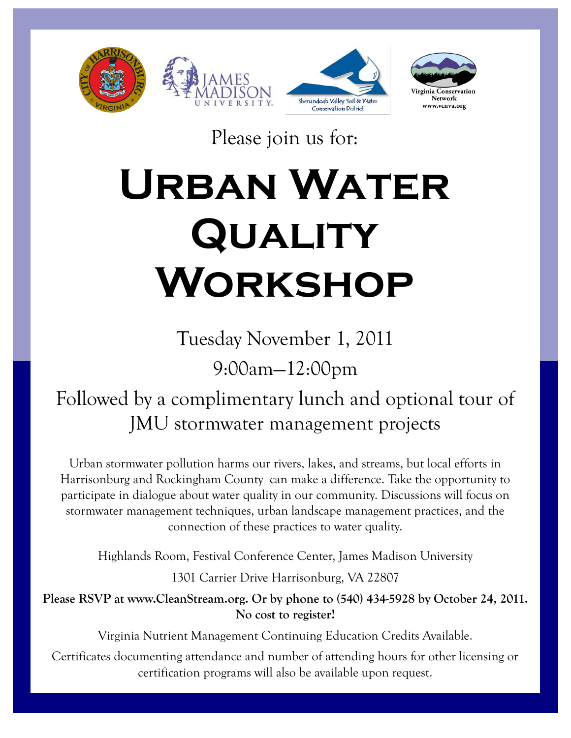







## Please join us for:

# **Urban Water Quality Workshop**

Tuesday November 1, 2011 9:00am—12:00pm

## Followed by a complimentary lunch and optional tour of JMU stormwater management projects

Urban stormwater pollution harms our rivers, lakes, and streams, but local efforts in Harrisonburg and Rockingham County can make a difference. Take the opportunity to participate in dialogue about water quality in our community. Discussions will focus on stormwater management techniques, urban landscape management practices, and the connection of these practices to water quality.

Highlands Room, Festival Conference Center, James Madison University

1301 Carrier Drive Harrisonburg, VA 22807

**Please RSVP at www.CleanStream.org. Or by phone to (540) 434-5928 by October 24, 2011. No cost to register!**

Virginia Nutrient Management Continuing Education Credits Available.

Certificates documenting attendance and number of attending hours for other licensing or certification programs will also be available upon request.